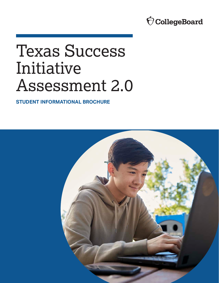# Ó CollegeBoard

# Texas Success Initiative Assessment 2.0

**STUDENT INFORMATIONAL BROCHURE** 

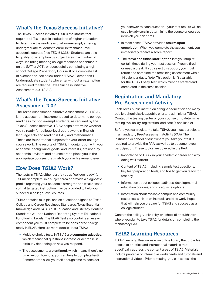#### **What's the Texas Success Initiative?**

The Texas Success Initiative (TSI) is the statute that requires all Texas public institutions of higher education to determine the readiness of all non-exempt, entering undergraduate students to enroll in freshman-level academic courses (see TEC, 51.336). Students are able to qualify for exemption by subject area in a number of ways, including meeting college readiness benchmarks on the SAT® or ACT® , or successfully completing a high school College Preparatory Course. (For a complete list of exemptions, see below under "TSIA2 Exemptions"). Undergraduate students who enter without an exemption are required to take the Texas Success Initiative Assessment 2.0 (TSIA2).

#### **What's the Texas Success Initiative Assessment 2.0?**

The Texas Assessment Initiative Assessment 2.0 (TSIA2) is the assessment instrument used to determine college readiness for non-exempt students, as required by the Texas Success Initiative. TSIA2 helps determine whether you're ready for college-level coursework in English language arts and reading (ELAR) and mathematics. These are foundational subjects for your other college coursework. The results of TSIA2, in conjunction with your academic background, goals, and interests, are used by academic advisers and counselors to place you in the appropriate courses that match your achievement level.

#### **How Does TSIA2 Work?**

The tests in TSIA2 either certify you as "college ready" (or TSI-met/complete) in a subject area or provide a diagnostic profile regarding your academic strengths and weaknesses so that targeted instruction may be provided to help you succeed in college-level courses.

TSIA2 contains multiple-choice questions aligned to Texas College and Career Readiness Standards, Texas Essential Knowledge and Skills, Adult Education and Literacy Content Standards 2.0, and National Reporting System Educational Functioning Levels. The ELAR Test also contains an essay component you must complete to be considered college ready in ELAR. Here are more details about TSIA2:

- § Multiple-choice tests in TSIA2 are **computer adaptive**, which means that questions increase or decrease in difficulty depending on how you respond.
- § The assessments are **untimed**, which means there's no time limit on how long you can take to complete testing. Remember to allow yourself enough time to consider

your answer to each question—your test results will be used by advisers in determining the course or courses in which you can enroll.

- § In most cases, TSIA2 provides **results upon completion**. When you complete the assessment, you immediately receive a score report.
- § The **"save and finish later" option** lets you stop at certain times during your test session if you're tired or need a break. If you select this option, you must return and complete the remaining assessment within 14 calendar days. *Note:* This option isn't available for the TSIA2 Essay Test, which must be started and completed in the same session.

#### **Registration and Mandatory Pre-Assessment Activity**

Each Texas public institution of higher education and many public-school districts/public charters administer TSIA2. Contact the testing center or your counselor to determine testing availability, registration, and cost (if applicable).

Before you can register to take TSIA2, you must participate in a mandatory Pre-Assessment Activity (PAA). The institution or school district where you take your test is required to provide the PAA, as well as to document your participation. These topics are covered in the PAA:

- § Importance of TSIA2 in your academic career and why doing well matters
- Content of TSIA2, including sample test questions, key test preparation tools, and tips to get you ready for test day
- **Information about college readiness, developmental** education courses, and corequisite options
- Information about available campus and community resources, such as online tools and free workshops, that will help you prepare for TSIA2 and succeed as a college student

Contact the college, university, or school district/charter where you plan to take TSIA2 for details on completing the mandatory PAA.

#### **TSIA2 Learning Resources**

TSIA2 Learning Resources is an online library that provides access to practice and instructional materials that specifically address the content areas of TSIA2. Materials include printable or interactive worksheets and tutorials and instructional videos. Prior to testing, you can access the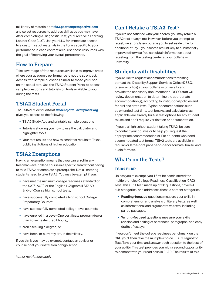full library of materials at **[tsia2.pearsonperspective.com](https://tsia2.pearsonperspective.com/)**  and select resources to address skill gaps you may have. After completing a Diagnostic Test, you'll receive a Learning Locator Code (LLC). Use your LLC for immediate access to a custom set of materials in the library specific to your performance in each content area. Use these resources with the goal of improving your overall performance.

## **How to Prepare**

Take advantage of free resources available to improve areas where your academic performance is not the strongest. Access free sample questions similar to those you'll see on the actual test. Use the TSIA2 Student Portal to access sample questions and tutorials on tools available to your during the tests.

## **TSIA2 Student Portal**

The TSIA2 Student Portal at **[studentportal.accuplacer.org](http://studentportal.accuplacer.org/#/home)**. gives you access to the following:

- TSIA2 Study App and printable sample questions
- § Tutorials showing you how to use the calculator and highlighter tools
- § Your test results and how to send test results to Texas public institutions of higher education

#### **TSIA2 Exemptions**

Having an exemption means that you can enroll in any freshman-level college course in a specific area without having to take TSIA2 or complete a prerequisite. Not all entering students need to take TSIA2. You may be exempt if you:

- have met the minimum college readiness standard on the SAT®, ACT® , or the English III/Algebra II STAAR End-of-Course high school tests;
- 1 Preparatory Course\*; § have successfully completed a high school College
- have successfully completed college-level course(s);
- have enrolled in a Level-One certificate program (fewer than 43 semester credit hours);
- aren't seeking a degree; or
- **•** have been, or currently are, in the military.

If you think you may be exempt, contact an adviser or counselor at your institution or high school.

#### **Can I Retake a TSIA2 Test?**

If you're not satisfied with your scores, you may retake a TSIA2 test at any time. However, before you attempt to retest, we strongly encourage you to set aside time for additional study—your scores are unlikely to substantially improve otherwise. You can obtain information about retesting from the testing center at your college or university.

#### **Students with Disabilities**

If you'd like to request accommodations for testing, contact the Disability Support Services Office (DSSO, or similar office) at your college or university and provide the necessary documentation. DSSO staff will review documentation to determine the appropriate accommodation(s), according to institutional policies and federal and state laws. Typical accommodations such as extended test time, test breaks, and calculators (as applicable) are already built-in test options for any student to use and don't require verification or documentation.

If you're a high school student taking TSIA2, be sure to contact your counselor to help you request the appropriate accommodation(s). For students who need accommodated test forms, TSIA2 tests are available in regular-or large-print paper-and-pencil formats, braille, and audio formats.

# **What's on the Tests?**

#### **TSIA2 ELAR**

Unless you're exempt, you'll first be administered the multiple-choice College Readiness Classification (CRC) Test. This CRC Test, made up of 30 questions, covers 4 sub categories, and addresses these 2 content categories:

- § **Reading-focused** questions measure your skills in comprehension and analysis of literary texts, as well as informational and argumentative texts, including paired passages.
- **Writing-focused** questions measure your skills in revision and editing of sentences, paragraphs, and early drafts of essays.

If you don't meet the college readiness benchmark on the CRC you'll then take the multiple-choice ELAR Diagnostic Test. Take your time and answer each question to the best of your ability. This test provides you with a second opportunity to demonstrate your readiness in ELAR. The results of this

<sup>\*</sup>*other restrictions apply*